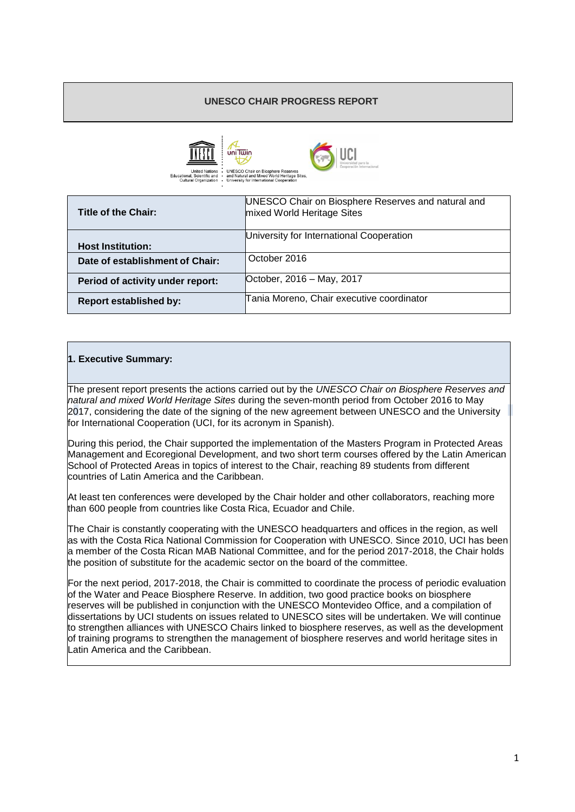## **UNESCO CHAIR PROGRESS REPORT**





| Title of the Chair:              | UNESCO Chair on Biosphere Reserves and natural and<br>mixed World Heritage Sites |
|----------------------------------|----------------------------------------------------------------------------------|
| <b>Host Institution:</b>         | University for International Cooperation                                         |
| Date of establishment of Chair:  | October 2016                                                                     |
| Period of activity under report: | October, 2016 - May, 2017                                                        |
| <b>Report established by:</b>    | Tania Moreno, Chair executive coordinator                                        |

# **1. Executive Summary:**

The present report presents the actions carried out by the *UNESCO Chair on Biosphere Reserves and natural and mixed World Heritage Sites* during the seven-month period from October 2016 to May 2017, considering the date of the signing of the new agreement between UNESCO and the University for International Cooperation (UCI, for its acronym in Spanish).

During this period, the Chair supported the implementation of the Masters Program in Protected Areas Management and Ecoregional Development, and two short term courses offered by the Latin American School of Protected Areas in topics of interest to the Chair, reaching 89 students from different countries of Latin America and the Caribbean.

At least ten conferences were developed by the Chair holder and other collaborators, reaching more than 600 people from countries like Costa Rica, Ecuador and Chile.

The Chair is constantly cooperating with the UNESCO headquarters and offices in the region, as well as with the Costa Rica National Commission for Cooperation with UNESCO. Since 2010, UCI has been a member of the Costa Rican MAB National Committee, and for the period 2017-2018, the Chair holds the position of substitute for the academic sector on the board of the committee.

For the next period, 2017-2018, the Chair is committed to coordinate the process of periodic evaluation of the Water and Peace Biosphere Reserve. In addition, two good practice books on biosphere reserves will be published in conjunction with the UNESCO Montevideo Office, and a compilation of dissertations by UCI students on issues related to UNESCO sites will be undertaken. We will continue to strengthen alliances with UNESCO Chairs linked to biosphere reserves, as well as the development of training programs to strengthen the management of biosphere reserves and world heritage sites in Latin America and the Caribbean.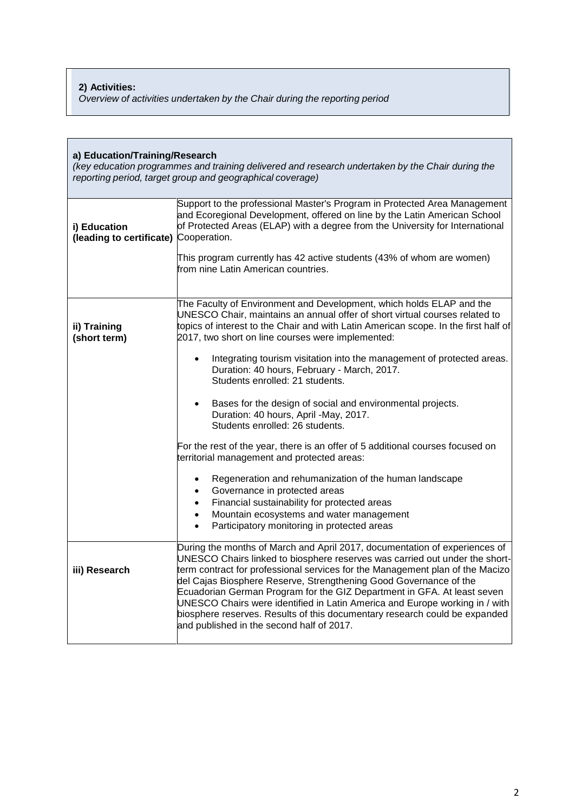## **2) Activities:**

*Overview of activities undertaken by the Chair during the reporting period*

| a) Education/Training/Research<br>(key education programmes and training delivered and research undertaken by the Chair during the<br>reporting period, target group and geographical coverage) |                                                                                                                                                                                                                                                                                                                                                                                                                                                                                                                                                                                                      |  |  |  |
|-------------------------------------------------------------------------------------------------------------------------------------------------------------------------------------------------|------------------------------------------------------------------------------------------------------------------------------------------------------------------------------------------------------------------------------------------------------------------------------------------------------------------------------------------------------------------------------------------------------------------------------------------------------------------------------------------------------------------------------------------------------------------------------------------------------|--|--|--|
| i) Education<br>(leading to certificate) Cooperation.                                                                                                                                           | Support to the professional Master's Program in Protected Area Management<br>and Ecoregional Development, offered on line by the Latin American School<br>of Protected Areas (ELAP) with a degree from the University for International                                                                                                                                                                                                                                                                                                                                                              |  |  |  |
|                                                                                                                                                                                                 | This program currently has 42 active students (43% of whom are women)<br>from nine Latin American countries.                                                                                                                                                                                                                                                                                                                                                                                                                                                                                         |  |  |  |
| ii) Training<br>(short term)                                                                                                                                                                    | The Faculty of Environment and Development, which holds ELAP and the<br>UNESCO Chair, maintains an annual offer of short virtual courses related to<br>topics of interest to the Chair and with Latin American scope. In the first half of<br>2017, two short on line courses were implemented:                                                                                                                                                                                                                                                                                                      |  |  |  |
|                                                                                                                                                                                                 | Integrating tourism visitation into the management of protected areas.<br>$\bullet$<br>Duration: 40 hours, February - March, 2017.<br>Students enrolled: 21 students.                                                                                                                                                                                                                                                                                                                                                                                                                                |  |  |  |
|                                                                                                                                                                                                 | Bases for the design of social and environmental projects.<br>Duration: 40 hours, April -May, 2017.<br>Students enrolled: 26 students.                                                                                                                                                                                                                                                                                                                                                                                                                                                               |  |  |  |
|                                                                                                                                                                                                 | For the rest of the year, there is an offer of 5 additional courses focused on<br>territorial management and protected areas:                                                                                                                                                                                                                                                                                                                                                                                                                                                                        |  |  |  |
|                                                                                                                                                                                                 | Regeneration and rehumanization of the human landscape<br>$\bullet$<br>Governance in protected areas<br>Financial sustainability for protected areas<br>$\bullet$<br>Mountain ecosystems and water management<br>$\bullet$<br>Participatory monitoring in protected areas                                                                                                                                                                                                                                                                                                                            |  |  |  |
| iii) Research                                                                                                                                                                                   | During the months of March and April 2017, documentation of experiences of<br>UNESCO Chairs linked to biosphere reserves was carried out under the short-<br>term contract for professional services for the Management plan of the Macizo<br>del Cajas Biosphere Reserve, Strengthening Good Governance of the<br>Ecuadorian German Program for the GIZ Department in GFA. At least seven<br>UNESCO Chairs were identified in Latin America and Europe working in / with<br>biosphere reserves. Results of this documentary research could be expanded<br>and published in the second half of 2017. |  |  |  |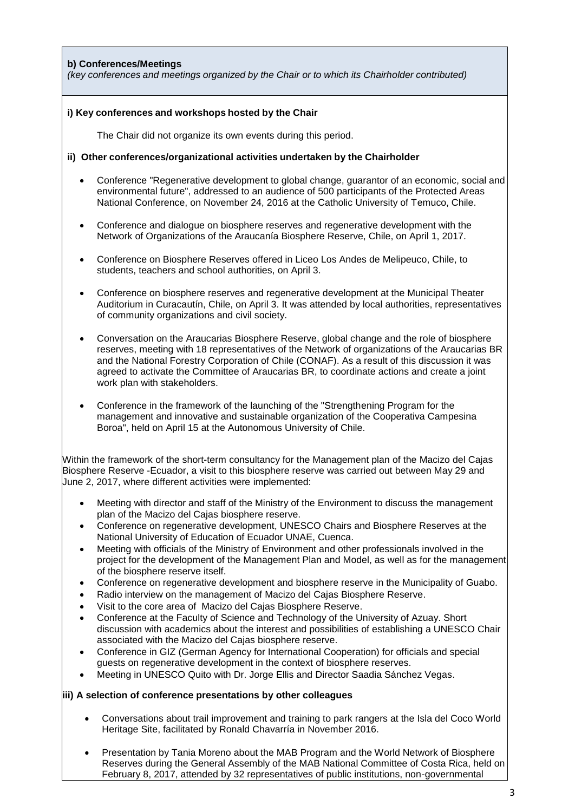## **b) Conferences/Meetings**

*(key conferences and meetings organized by the Chair or to which its Chairholder contributed)*

#### **i) Key conferences and workshops hosted by the Chair**

The Chair did not organize its own events during this period.

#### **ii) Other conferences/organizational activities undertaken by the Chairholder**

- Conference "Regenerative development to global change, guarantor of an economic, social and environmental future", addressed to an audience of 500 participants of the Protected Areas National Conference, on November 24, 2016 at the Catholic University of Temuco, Chile.
- Conference and dialogue on biosphere reserves and regenerative development with the Network of Organizations of the Araucanía Biosphere Reserve, Chile, on April 1, 2017.
- Conference on Biosphere Reserves offered in Liceo Los Andes de Melipeuco, Chile, to students, teachers and school authorities, on April 3.
- Conference on biosphere reserves and regenerative development at the Municipal Theater Auditorium in Curacautín, Chile, on April 3. It was attended by local authorities, representatives of community organizations and civil society.
- Conversation on the Araucarias Biosphere Reserve, global change and the role of biosphere reserves, meeting with 18 representatives of the Network of organizations of the Araucarias BR and the National Forestry Corporation of Chile (CONAF). As a result of this discussion it was agreed to activate the Committee of Araucarias BR, to coordinate actions and create a joint work plan with stakeholders.
- Conference in the framework of the launching of the "Strengthening Program for the management and innovative and sustainable organization of the Cooperativa Campesina Boroa", held on April 15 at the Autonomous University of Chile.

Within the framework of the short-term consultancy for the Management plan of the Macizo del Cajas Biosphere Reserve -Ecuador, a visit to this biosphere reserve was carried out between May 29 and June 2, 2017, where different activities were implemented:

- Meeting with director and staff of the Ministry of the Environment to discuss the management plan of the Macizo del Cajas biosphere reserve.
- Conference on regenerative development, UNESCO Chairs and Biosphere Reserves at the National University of Education of Ecuador UNAE, Cuenca.
- Meeting with officials of the Ministry of Environment and other professionals involved in the project for the development of the Management Plan and Model, as well as for the management of the biosphere reserve itself.
- Conference on regenerative development and biosphere reserve in the Municipality of Guabo.
- Radio interview on the management of Macizo del Cajas Biosphere Reserve.
- Visit to the core area of Macizo del Cajas Biosphere Reserve.
- Conference at the Faculty of Science and Technology of the University of Azuay. Short discussion with academics about the interest and possibilities of establishing a UNESCO Chair associated with the Macizo del Cajas biosphere reserve.
- Conference in GIZ (German Agency for International Cooperation) for officials and special guests on regenerative development in the context of biosphere reserves.
- Meeting in UNESCO Quito with Dr. Jorge Ellis and Director Saadia Sánchez Vegas.

#### **iii) A selection of conference presentations by other colleagues**

- Conversations about trail improvement and training to park rangers at the Isla del Coco World Heritage Site, facilitated by Ronald Chavarría in November 2016.
- Presentation by Tania Moreno about the MAB Program and the World Network of Biosphere Reserves during the General Assembly of the MAB National Committee of Costa Rica, held on February 8, 2017, attended by 32 representatives of public institutions, non-governmental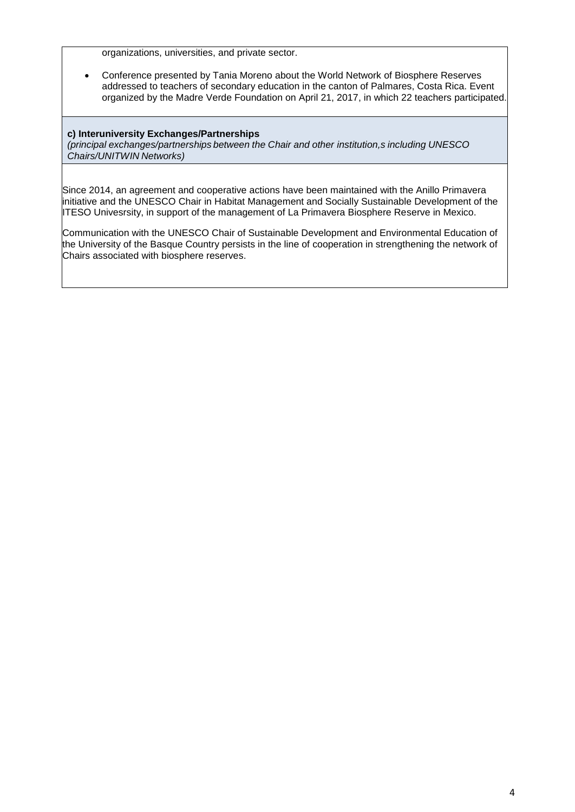organizations, universities, and private sector.

 Conference presented by Tania Moreno about the World Network of Biosphere Reserves addressed to teachers of secondary education in the canton of Palmares, Costa Rica. Event organized by the Madre Verde Foundation on April 21, 2017, in which 22 teachers participated.

## **c) Interuniversity Exchanges/Partnerships**

*(principal exchanges/partnerships between the Chair and other institution,s including UNESCO Chairs/UNITWIN Networks)*

Since 2014, an agreement and cooperative actions have been maintained with the Anillo Primavera initiative and the UNESCO Chair in Habitat Management and Socially Sustainable Development of the ITESO Univesrsity, in support of the management of La Primavera Biosphere Reserve in Mexico.

Communication with the UNESCO Chair of Sustainable Development and Environmental Education of the University of the Basque Country persists in the line of cooperation in strengthening the network of Chairs associated with biosphere reserves.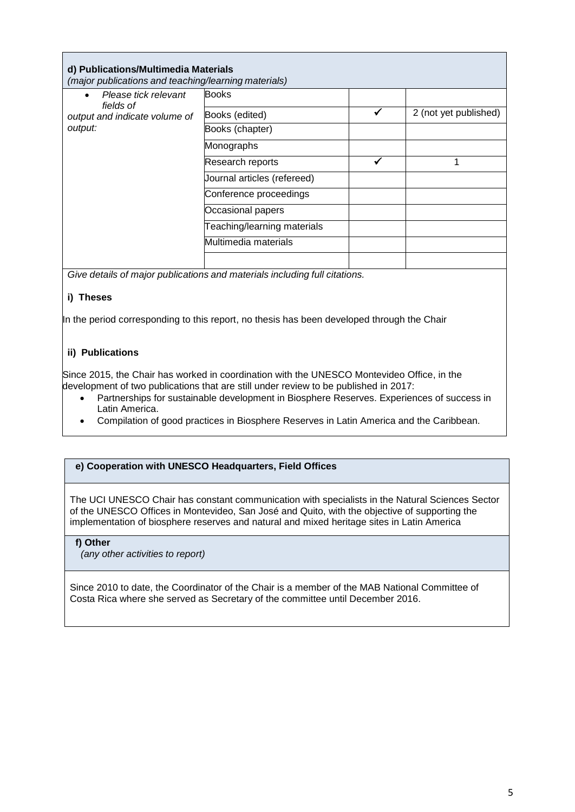| d) Publications/Multimedia Materials<br>(major publications and teaching/learning materials) |                             |  |                       |  |  |
|----------------------------------------------------------------------------------------------|-----------------------------|--|-----------------------|--|--|
| Please tick relevant<br>$\bullet$<br>fields of<br>output and indicate volume of<br>output:   | <b>Books</b>                |  |                       |  |  |
|                                                                                              | Books (edited)              |  | 2 (not yet published) |  |  |
|                                                                                              | Books (chapter)             |  |                       |  |  |
|                                                                                              | Monographs                  |  |                       |  |  |
|                                                                                              | Research reports            |  |                       |  |  |
|                                                                                              | Journal articles (refereed) |  |                       |  |  |
|                                                                                              | Conference proceedings      |  |                       |  |  |
|                                                                                              | Occasional papers           |  |                       |  |  |
|                                                                                              | Teaching/learning materials |  |                       |  |  |
|                                                                                              | Multimedia materials        |  |                       |  |  |
|                                                                                              |                             |  |                       |  |  |

*Give details of major publications and materials including full citations.*

# **i) Theses**

In the period corresponding to this report, no thesis has been developed through the Chair

# **ii) Publications**

Since 2015, the Chair has worked in coordination with the UNESCO Montevideo Office, in the development of two publications that are still under review to be published in 2017:

- Partnerships for sustainable development in Biosphere Reserves. Experiences of success in Latin America.
- Compilation of good practices in Biosphere Reserves in Latin America and the Caribbean.

## **e) Cooperation with UNESCO Headquarters, Field Offices**

The UCI UNESCO Chair has constant communication with specialists in the Natural Sciences Sector of the UNESCO Offices in Montevideo, San José and Quito, with the objective of supporting the implementation of biosphere reserves and natural and mixed heritage sites in Latin America

## **f) Other**

*(any other activities to report)*

Since 2010 to date, the Coordinator of the Chair is a member of the MAB National Committee of Costa Rica where she served as Secretary of the committee until December 2016.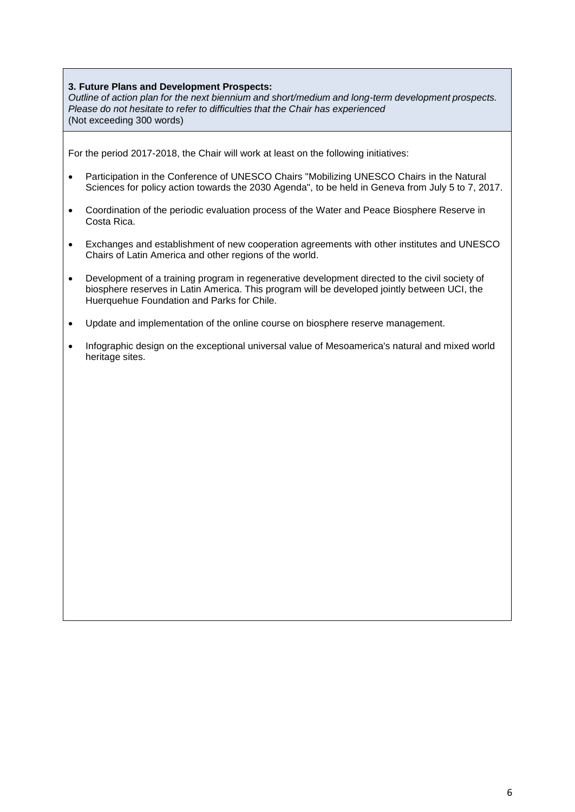## **3. Future Plans and Development Prospects:**

*Outline of action plan for the next biennium and short/medium and long-term development prospects. Please do not hesitate to refer to difficulties that the Chair has experienced* (Not exceeding 300 words)

For the period 2017-2018, the Chair will work at least on the following initiatives:

- Participation in the Conference of UNESCO Chairs "Mobilizing UNESCO Chairs in the Natural Sciences for policy action towards the 2030 Agenda", to be held in Geneva from July 5 to 7, 2017.
- Coordination of the periodic evaluation process of the Water and Peace Biosphere Reserve in Costa Rica.
- Exchanges and establishment of new cooperation agreements with other institutes and UNESCO Chairs of Latin America and other regions of the world.
- Development of a training program in regenerative development directed to the civil society of biosphere reserves in Latin America. This program will be developed jointly between UCI, the Huerquehue Foundation and Parks for Chile.
- Update and implementation of the online course on biosphere reserve management.
- Infographic design on the exceptional universal value of Mesoamerica's natural and mixed world heritage sites.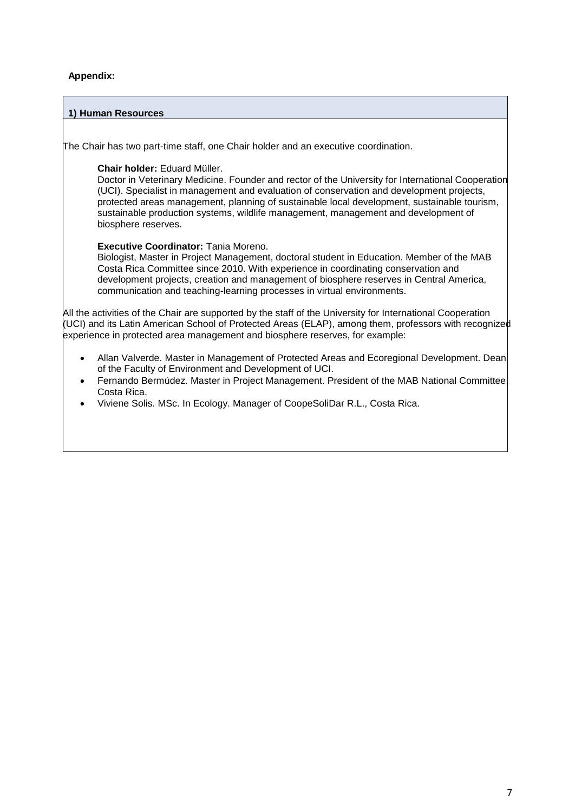# **Appendix:**

## **1) Human Resources**

The Chair has two part-time staff, one Chair holder and an executive coordination.

## **Chair holder:** Eduard Müller.

Doctor in Veterinary Medicine. Founder and rector of the University for International Cooperation (UCI). Specialist in management and evaluation of conservation and development projects, protected areas management, planning of sustainable local development, sustainable tourism, sustainable production systems, wildlife management, management and development of biosphere reserves.

## **Executive Coordinator:** Tania Moreno.

Biologist, Master in Project Management, doctoral student in Education. Member of the MAB Costa Rica Committee since 2010. With experience in coordinating conservation and development projects, creation and management of biosphere reserves in Central America, communication and teaching-learning processes in virtual environments.

All the activities of the Chair are supported by the staff of the University for International Cooperation (UCI) and its Latin American School of Protected Areas (ELAP), among them, professors with recognized experience in protected area management and biosphere reserves, for example:

- Allan Valverde. Master in Management of Protected Areas and Ecoregional Development. Dean of the Faculty of Environment and Development of UCI.
- Fernando Bermúdez. Master in Project Management. President of the MAB National Committee, Costa Rica.
- Viviene Solis. MSc. In Ecology. Manager of CoopeSoliDar R.L., Costa Rica.